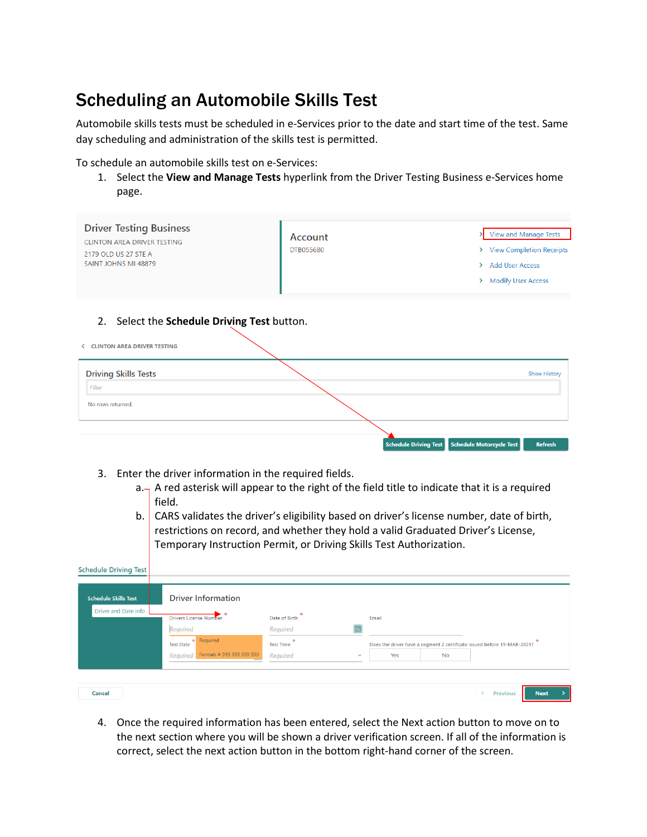## Scheduling an Automobile Skills Test

Automobile skills tests must be scheduled in e-Services prior to the date and start time of the test. Same day scheduling and administration of the skills test is permitted.

To schedule an automobile skills test on e-Services:

1. Select the **View and Manage Tests** hyperlink from the Driver Testing Business e-Services home page.

| <b>Driver Testing Business</b><br><b>CLINTON AREA DRIVER TESTING</b><br>2179 OLD US 27 STE A<br>SAINT JOHNS MI 48879 | Account<br>DTB055680 | View and Manage Tests<br>> View Completion Receipts<br>> Add User Access<br>> Modify User Access |
|----------------------------------------------------------------------------------------------------------------------|----------------------|--------------------------------------------------------------------------------------------------|
| 2. Select the Schedule Driving Test button.<br><b>CLINTON AREA DRIVER TESTING</b>                                    |                      |                                                                                                  |
| <b>Driving Skills Tests</b><br>Filter<br>No rows returned.                                                           |                      | <b>Show History</b>                                                                              |
|                                                                                                                      |                      | Schedule Motorcycle Test<br><b>Schedule Driving Test</b><br><b>Refresh</b>                       |

- 3. Enter the driver information in the required fields.
	- $a_{\text{max}}$  A red asterisk will appear to the right of the field title to indicate that it is a required field.
	- b. CARS validates the driver's eligibility based on driver's license number, date of birth, restrictions on record, and whether they hold a valid Graduated Driver's License, Temporary Instruction Permit, or Driving Skills Test Authorization.

| <b>Schedule Driving Test</b><br><b>Schedule Skills Test</b> | <b>Driver Information</b>                                                                                          |                                                           |              |              |    |                                                                         |    |
|-------------------------------------------------------------|--------------------------------------------------------------------------------------------------------------------|-----------------------------------------------------------|--------------|--------------|----|-------------------------------------------------------------------------|----|
| Driver and Date Info                                        | <b>Drivers License Number</b><br>Required<br>Required<br><b>Test Date</b><br>Format: A 999 999 999 999<br>Required | Date of Birth<br>Required<br><b>Test Time</b><br>Required | $\checkmark$ | Email<br>Yes | No | Does the driver have a segment 2 certificate issued before 19-MAR-2021? |    |
| Cancel                                                      |                                                                                                                    |                                                           |              |              |    | <b>Next</b><br><b>Previous</b>                                          | ۰, |

4. Once the required information has been entered, select the Next action button to move on to the next section where you will be shown a driver verification screen. If all of the information is correct, select the next action button in the bottom right-hand corner of the screen.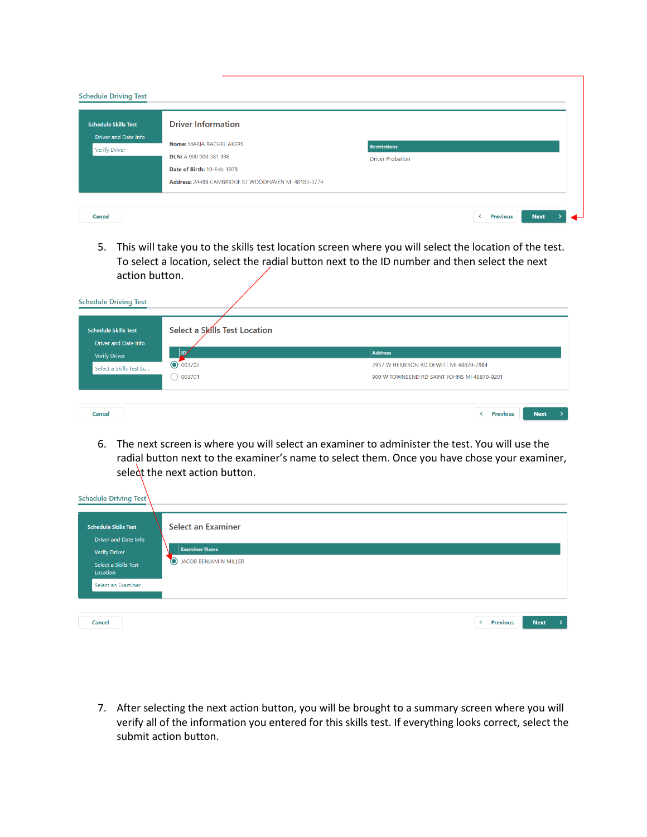| <b>Schedule Skills Test</b> | <b>Driver Information</b>  |                         |  |
|-----------------------------|----------------------------|-------------------------|--|
| <b>Driver and Date Info</b> | Name: MARIA RACHEL AKERS   | <b>Restrictions</b>     |  |
| <b>Verify Driver</b>        | DLN: A 900 000 381 936     | <b>Driver Probation</b> |  |
|                             | Date of Birth: 10-Feb-1978 |                         |  |

5. This will take you to the skills test location screen where you will select the location of the test. To select a location, select the radial button next to the ID number and then select the next action button.

| <b>Schedule Skills Test</b><br><b>Driver and Date Info</b> | Select a Skills Test Location |                                             |  |
|------------------------------------------------------------|-------------------------------|---------------------------------------------|--|
| <b>Verify Driver</b>                                       | ID,                           | <b>Address</b>                              |  |
| Select a Skills Test Lo                                    | $\odot$ 003702                | 2957 W HERBISON RD DEWITT MI 48820-7984     |  |
|                                                            | 003701                        | 900 W TOWNSEND RD SAINT JOHNS MI 48879-9201 |  |

6. The next screen is where you will select an examiner to administer the test. You will use the radial button next to the examiner's name to select them. Once you have chose your examiner, select the next action button.

| Schedule Driving Test                                                                                                  |                                                                                         |
|------------------------------------------------------------------------------------------------------------------------|-----------------------------------------------------------------------------------------|
| <b>Schedule Skills Test</b><br><b>Driver and Date Info</b><br><b>Verify Driver</b><br>Select a Skills Test<br>Location | <b>Select an Examiner</b><br><b>Examiner Name</b><br>$\bullet$<br>JACOB BENJAMIN MILLER |
| Select an Examiner<br>Cancel                                                                                           | <b>Next</b><br><b>Previous</b><br>≺<br>᠈                                                |

7. After selecting the next action button, you will be brought to a summary screen where you will verify all of the information you entered for this skills test. If everything looks correct, select the submit action button.